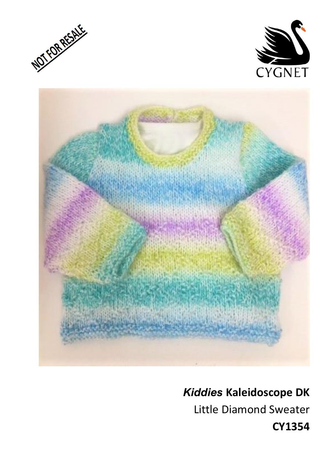





# *Kiddies* **Kaleidoscope DK**

Little Diamond Sweater

**CY1354**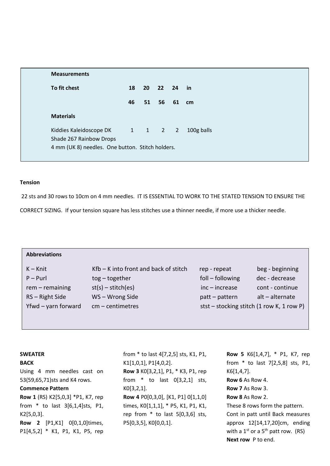| <b>Measurements</b>                                        |    |    |             |            |
|------------------------------------------------------------|----|----|-------------|------------|
| To fit chest                                               | 18 |    | 20 22 24 in |            |
|                                                            | 46 | 51 | 56          | 61 cm      |
| <b>Materials</b>                                           |    |    |             |            |
| Kiddies Kaleidoscope DK 1 1 2 2<br>Shade 267 Rainbow Drops |    |    |             | 100g balls |
| 4 mm (UK 8) needles. One button. Stitch holders.           |    |    |             |            |

#### **Tension**

22 sts and 30 rows to 10cm on 4 mm needles. IT IS ESSENTIAL TO WORK TO THE STATED TENSION TO ENSURE THE

CORRECT SIZING. If your tension square has less stitches use a thinner needle, if more use a thicker needle.

| <b>Abbreviations</b> |                                         |                                             |                 |
|----------------------|-----------------------------------------|---------------------------------------------|-----------------|
| $K - Knit$           | $Kfb - K$ into front and back of stitch | rep - repeat                                | beg - beginning |
| $P - P$ url          | $tog - together$                        | foll – following                            | dec - decrease  |
| rem - remaining      | $st(s) - stitch(es)$                    | $inc - increase$                            | cont - continue |
| RS - Right Side      | WS-Wrong Side                           | patt - pattern                              | alt - alternate |
| Yfwd - yarn forward  | $cm$ – centimetres                      | stst – stocking stitch $(1$ row K, 1 row P) |                 |
|                      |                                         |                                             |                 |

#### **SWEATER**

**BACK**

Using 4 mm needles cast on 53(59,65,71)sts and K4 rows.

#### **Commence Pattern**

**Row 1** (RS) K2[5,0,3] \*P1, K7, rep from \* to last 3[6,1,4]sts, P1, K2[5,0,3].

**Row 2** [P1,K1] 0[0,1,0]times, P1[4,5,2] \* K1, P1, K1, P5, rep from \* to last 4[7,2,5] sts, K1, P1, K1[1,0,1], P1[4,0,2]. **Row 3** K0[3,2,1], P1, \* K3, P1, rep from \* to last 0[3,2,1] sts, K0[3,2,1]. **Row 4** P0[0,3,0], [K1, P1] 0[1,1,0] times, K0[1,1,1], \* P5, K1, P1, K1, rep from  $*$  to last  $5[0,3,6]$  sts, P5[0,3,5], K0[0,0,1].

**Row 5** K6[1,4,7], \* P1, K7, rep from \* to last 7[2,5,8] sts, P1, K6[1,4,7]. **Row 6** As Row 4. **Row 7** As Row 3. **Row 8** As Row 2. These 8 rows form the pattern. Cont in patt until Back measures approx 12[14,17,20]cm, ending with a  $1^{st}$  or a  $5^{th}$  patt row. (RS) **Next row** P to end.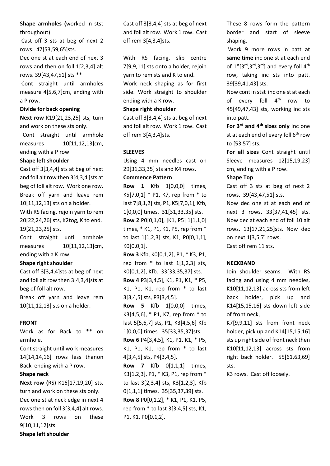# **Shape armholes (**worked in stst throughout)

Cast off 3 sts at beg of next 2 rows. 47[53,59,65]sts.

Dec one st at each end of next 3 rows and then on foll 1[2,3,4] alt rows. 39[43,47,51] sts \*\*

Cont straight until armholes measure 4[5,6,7]cm, ending with a P row.

#### **Divide for back opening**

**Next row** K19[21,23,25] sts, turn and work on these sts only.

 Cont straight until armhole measures 10[11,12,13]cm, ending with a P row.

### **Shape left shoulder**

Cast off 3[3,4,4] sts at beg of next and foll alt row then 3[4,3,4 ]sts at beg of foll alt row. Work one row. Break off yarn and leave rem 10[11,12,13] sts on a holder. With RS facing, rejoin yarn to rem 20[22,24,26] sts, K2tog, K to end. 19[21,23,25] sts.

Cont straight until armhole measures 10[11,12,13]cm, ending with a K row.

### **Shape right shoulder**

Cast off 3[3,4,4]sts at beg of next and foll alt row then 3[4,3,4]sts at beg of foll alt row.

Break off yarn and leave rem 10[11,12,13] sts on a holder.

### **FRONT**

Work as for Back to \*\* on armhole.

Cont straight until work measures 14[14,14,16] rows less thanon Back ending with a P row.

### **Shape neck**

**Next row (**RS) K16[17,19,20] sts, turn and work on these sts only. Dec one st at neck edge in next 4 rows then on foll 3[3,4,4] alt rows. Work 3 rows on these 9[10,11,12]sts.

**Shape left shoulder**

Cast off 3[3,4,4] sts at beg of next and foll alt row. Work 1 row. Cast off rem 3[4,3,4]sts.

With RS facing, slip centre 7[9,9,11] sts onto a holder, rejoin yarn to rem sts and K to end. Work neck shaping as for first side. Work straight to shoulder ending with a K row.

#### **Shape right shoulder**

Cast off 3[3,4,4] sts at beg of next and foll alt row. Work 1 row. Cast off rem 3[4,3,4]sts.

## **SLEEVES**

Using 4 mm needles cast on 29[31,33,35] sts and K4 rows.

#### **Commence Pattern**

**Row 1** Kfb 1[0,0,0] times, K5[7,0,1] \* P1, K7, rep from \* to last 7[8,1,2] sts, P1, K5[7,0,1], Kfb, 1[0,0,0] times. 31[31,33,35] sts. **Row 2** P0[0,1,0], [K1, P5] 1[1,1,0] times, \* K1, P1, K1, P5, rep from \* to last 1[1,2,3] sts, K1, P0[0,1,1], K0[0,0,1].

**Row 3** Kfb, K0[0,1,2], P1, \* K3, P1, rep from  $*$  to last  $1[1,2,3]$  sts, K0[0,1,2], Kfb. 33[33,35,37] sts. **Row 4** P3[3,4,5], K1, P1, K1, \* P5, K1, P1, K1, rep from \* to last 3[3,4,5] sts, P3[3,4,5].

**Row 5** Kfb 1[0,0,0] times, K3[4,5,6], \* P1, K7, rep from \* to last 5[5,6,7] sts, P1, K3[4,5,6] Kfb 1[0,0,0] times. 35[33,35,37]sts. **Row 6** P4[3,4,5], K1, P1, K1, \* P5,

K1, P1, K1, rep from \* to last 4[3,4,5] sts, P4[3,4,5].

**Row 7** Kfb 0[1,1,1] times, K3[1,2,3], P1, \* K3, P1, rep from \* to last 3[2,3,4] sts, K3[1,2,3], Kfb 0[1,1,1] times. 35[35,37,39] sts. **Row 8** P0[0,1,2], \* K1, P1, K1, P5, rep from \* to last 3[3,4,5] sts, K1, P1, K1, P0[0,1,2].

These 8 rows form the pattern border and start of sleeve shaping.

Work 9 more rows in patt **at same time** inc one st at each end of  $1^{st} [3^{rd}, 3^{rd}, 3^{rd}]$  and every foll  $4^{th}$ row, taking inc sts into patt. 39[39,41,43] sts.

Now cont in stst inc one st at each of every foll  $4<sup>th</sup>$  row to 45[49,47,43] sts, working inc sts into patt.

**For 3rd and 4th sizes only** Inc one st at each end of every foll  $6<sup>th</sup>$  row to [53,57] sts.

**For all sizes** Cont straight until Sleeve measures 12[15,19,23] cm, ending with a P row.

### **Shape Top**

Cast off 3 sts at beg of next 2 rows. 39[43,47,51] sts.

Now dec one st at each end of next 3 rows. 33[37,41,45] sts. Now dec at each end of foll 10 alt rows. 13[17,21,25]sts. Now dec on next 1[3,5,7] rows. Cast off rem 11 sts.

# **NECKBAND**

Join shoulder seams. With RS facing and using 4 mm needles, K10[11,12,13] across sts from left back holder, pick up and K14[15,15,16] sts down left side of front neck,

K7[9,9,11] sts from front neck holder, pick up and K14[15,15,16] sts up right side of front neck then K10[11,12,13] across sts from right back holder. 55[61,63,69] sts.

K3 rows. Cast off loosely.